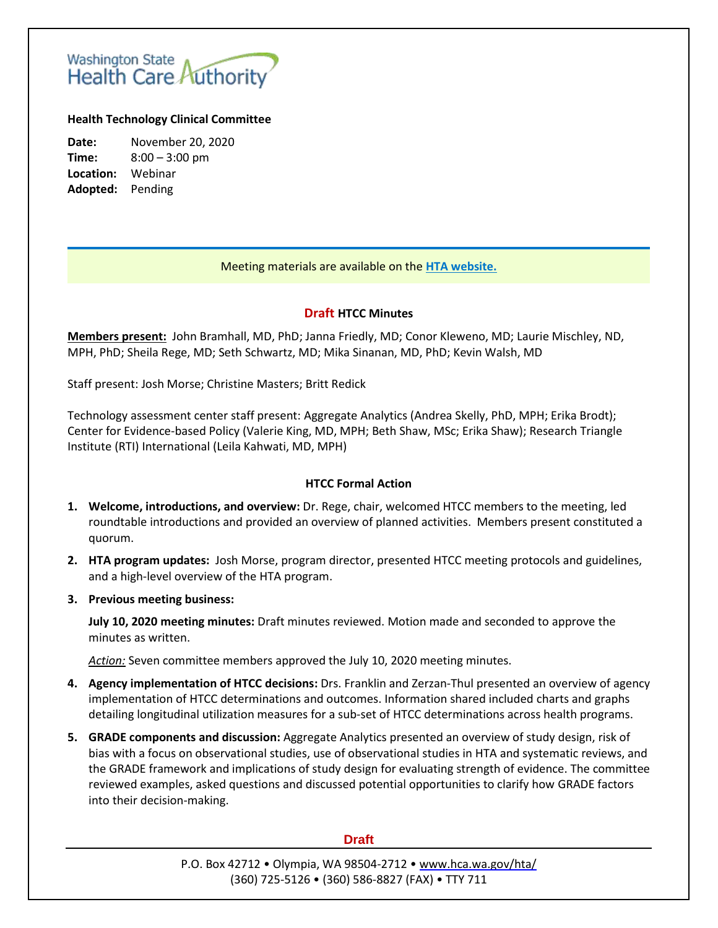# Washington State<br>Health Care Authority

## **Health Technology Clinical Committee**

**Date:** November 20, 2020 **Time:** 8:00 – 3:00 pm **Location:** Webinar **Adopted:** Pending

## Meeting materials are available on the **[HTA website.](http://www.hca.wa.gov/about-hca/health-technology-assessment/meetings-and-materials)**

## **Draft HTCC Minutes**

**Members present:** John Bramhall, MD, PhD; Janna Friedly, MD; Conor Kleweno, MD; Laurie Mischley, ND, MPH, PhD; Sheila Rege, MD; Seth Schwartz, MD; Mika Sinanan, MD, PhD; Kevin Walsh, MD

Staff present: Josh Morse; Christine Masters; Britt Redick

Technology assessment center staff present: Aggregate Analytics (Andrea Skelly, PhD, MPH; Erika Brodt); Center for Evidence-based Policy (Valerie King, MD, MPH; Beth Shaw, MSc; Erika Shaw); Research Triangle Institute (RTI) International (Leila Kahwati, MD, MPH)

### **HTCC Formal Action**

- **1. Welcome, introductions, and overview:** Dr. Rege, chair, welcomed HTCC members to the meeting, led roundtable introductions and provided an overview of planned activities. Members present constituted a quorum.
- **2. HTA program updates:** Josh Morse, program director, presented HTCC meeting protocols and guidelines, and a high-level overview of the HTA program.
- **3. Previous meeting business:**

**July 10, 2020 meeting minutes:** Draft minutes reviewed. Motion made and seconded to approve the minutes as written.

*Action:* Seven committee members approved the July 10, 2020 meeting minutes.

- **4. Agency implementation of HTCC decisions:** Drs. Franklin and Zerzan-Thul presented an overview of agency implementation of HTCC determinations and outcomes. Information shared included charts and graphs detailing longitudinal utilization measures for a sub-set of HTCC determinations across health programs.
- **5. GRADE components and discussion:** Aggregate Analytics presented an overview of study design, risk of bias with a focus on observational studies, use of observational studies in HTA and systematic reviews, and the GRADE framework and implications of study design for evaluating strength of evidence. The committee reviewed examples, asked questions and discussed potential opportunities to clarify how GRADE factors into their decision-making.

### **Draft**

P.O. Box 42712 • Olympia, WA 98504-2712 • [www.hca.wa.gov/hta/](http://www.hca.wa.gov/hta/) (360) 725-5126 • (360) 586-8827 (FAX) • TTY 711